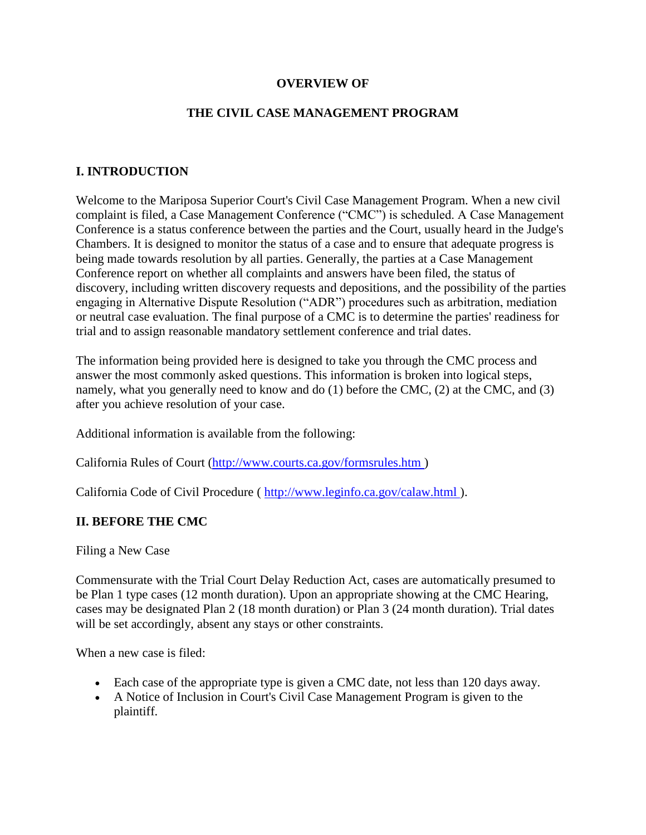#### **OVERVIEW OF**

### **THE CIVIL CASE MANAGEMENT PROGRAM**

## **I. INTRODUCTION**

Welcome to the Mariposa Superior Court's Civil Case Management Program. When a new civil complaint is filed, a Case Management Conference ("CMC") is scheduled. A Case Management Conference is a status conference between the parties and the Court, usually heard in the Judge's Chambers. It is designed to monitor the status of a case and to ensure that adequate progress is being made towards resolution by all parties. Generally, the parties at a Case Management Conference report on whether all complaints and answers have been filed, the status of discovery, including written discovery requests and depositions, and the possibility of the parties engaging in Alternative Dispute Resolution ("ADR") procedures such as arbitration, mediation or neutral case evaluation. The final purpose of a CMC is to determine the parties' readiness for trial and to assign reasonable mandatory settlement conference and trial dates.

The information being provided here is designed to take you through the CMC process and answer the most commonly asked questions. This information is broken into logical steps, namely, what you generally need to know and do (1) before the CMC, (2) at the CMC, and (3) after you achieve resolution of your case.

Additional information is available from the following:

California Rules of Court [\(http://www.courts.ca.gov/formsrules.htm \)](https://web.archive.org/web/20161203130423/http:/www.courts.ca.gov/formsrules.htm)

California Code of Civil Procedure ( [http://www.leginfo.ca.gov/calaw.html \)](https://web.archive.org/web/20161203130423/http:/www.leginfo.ca.gov/calaw.html).

#### **II. BEFORE THE CMC**

Filing a New Case

Commensurate with the Trial Court Delay Reduction Act, cases are automatically presumed to be Plan 1 type cases (12 month duration). Upon an appropriate showing at the CMC Hearing, cases may be designated Plan 2 (18 month duration) or Plan 3 (24 month duration). Trial dates will be set accordingly, absent any stays or other constraints.

When a new case is filed:

- Each case of the appropriate type is given a CMC date, not less than 120 days away.
- A Notice of Inclusion in Court's Civil Case Management Program is given to the plaintiff.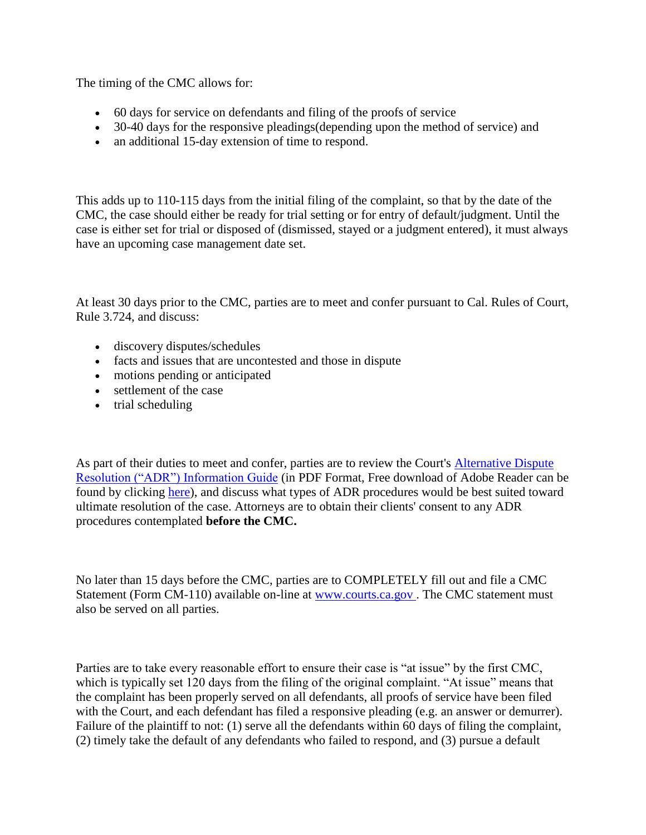The timing of the CMC allows for:

- 60 days for service on defendants and filing of the proofs of service
- 30-40 days for the responsive pleadings (depending upon the method of service) and
- an additional 15-day extension of time to respond.

This adds up to 110-115 days from the initial filing of the complaint, so that by the date of the CMC, the case should either be ready for trial setting or for entry of default/judgment. Until the case is either set for trial or disposed of (dismissed, stayed or a judgment entered), it must always have an upcoming case management date set.

At least 30 days prior to the CMC, parties are to meet and confer pursuant to Cal. Rules of Court, Rule 3.724, and discuss:

- discovery disputes/schedules
- facts and issues that are uncontested and those in dispute
- motions pending or anticipated
- settlement of the case
- $\bullet$  trial scheduling

As part of their duties to meet and confer, parties are to review the Court's **Alternative Dispute** [Resolution \("ADR"\) Information Guide](http://mariposacourt.org/files/ADRGUIDE.pdf) (in PDF Format, Free download of Adobe Reader can be found by clicking [here\)](https://web.archive.org/web/20161203130423/http:/get.adobe.com/reader/), and discuss what types of ADR procedures would be best suited toward ultimate resolution of the case. Attorneys are to obtain their clients' consent to any ADR procedures contemplated **before the CMC.** 

No later than 15 days before the CMC, parties are to COMPLETELY fill out and file a CMC Statement (Form CM-110) available on-line at [www.courts.ca.gov .](https://web.archive.org/web/20161203130423/http:/www.courts.ca.gov/) The CMC statement must also be served on all parties.

Parties are to take every reasonable effort to ensure their case is "at issue" by the first CMC, which is typically set 120 days from the filing of the original complaint. "At issue" means that the complaint has been properly served on all defendants, all proofs of service have been filed with the Court, and each defendant has filed a responsive pleading (e.g. an answer or demurrer). Failure of the plaintiff to not: (1) serve all the defendants within 60 days of filing the complaint, (2) timely take the default of any defendants who failed to respond, and (3) pursue a default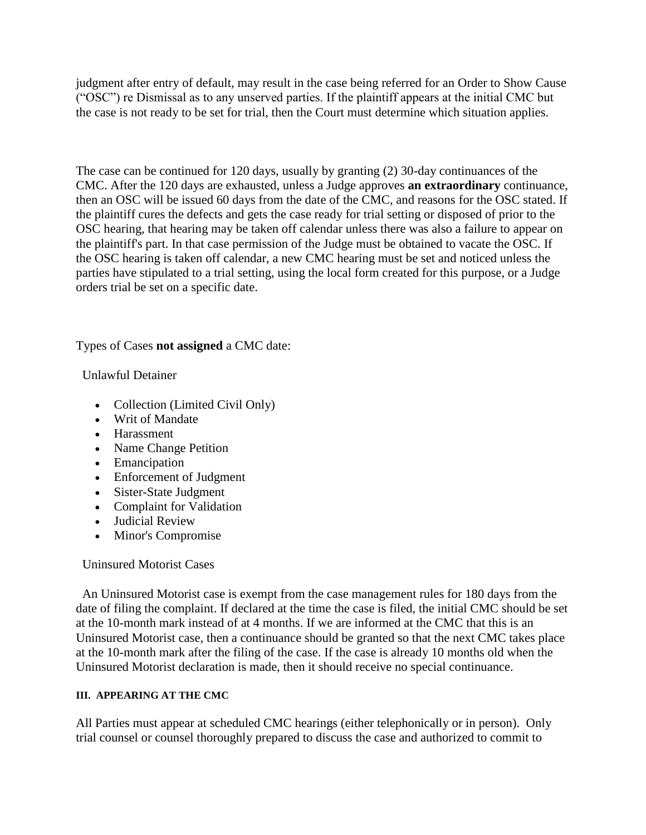judgment after entry of default, may result in the case being referred for an Order to Show Cause ("OSC") re Dismissal as to any unserved parties. If the plaintiff appears at the initial CMC but the case is not ready to be set for trial, then the Court must determine which situation applies.

The case can be continued for 120 days, usually by granting (2) 30-day continuances of the CMC. After the 120 days are exhausted, unless a Judge approves **an extraordinary** continuance, then an OSC will be issued 60 days from the date of the CMC, and reasons for the OSC stated. If the plaintiff cures the defects and gets the case ready for trial setting or disposed of prior to the OSC hearing, that hearing may be taken off calendar unless there was also a failure to appear on the plaintiff's part. In that case permission of the Judge must be obtained to vacate the OSC. If the OSC hearing is taken off calendar, a new CMC hearing must be set and noticed unless the parties have stipulated to a trial setting, using the local form created for this purpose, or a Judge orders trial be set on a specific date.

Types of Cases **not assigned** a CMC date:

Unlawful Detainer

- Collection (Limited Civil Only)
- Writ of Mandate
- Harassment
- Name Change Petition
- Emancipation
- Enforcement of Judgment
- Sister-State Judgment
- Complaint for Validation
- Judicial Review
- Minor's Compromise

Uninsured Motorist Cases

An Uninsured Motorist case is exempt from the case management rules for 180 days from the date of filing the complaint. If declared at the time the case is filed, the initial CMC should be set at the 10-month mark instead of at 4 months. If we are informed at the CMC that this is an Uninsured Motorist case, then a continuance should be granted so that the next CMC takes place at the 10-month mark after the filing of the case. If the case is already 10 months old when the Uninsured Motorist declaration is made, then it should receive no special continuance.

#### **III. APPEARING AT THE CMC**

All Parties must appear at scheduled CMC hearings (either telephonically or in person). Only trial counsel or counsel thoroughly prepared to discuss the case and authorized to commit to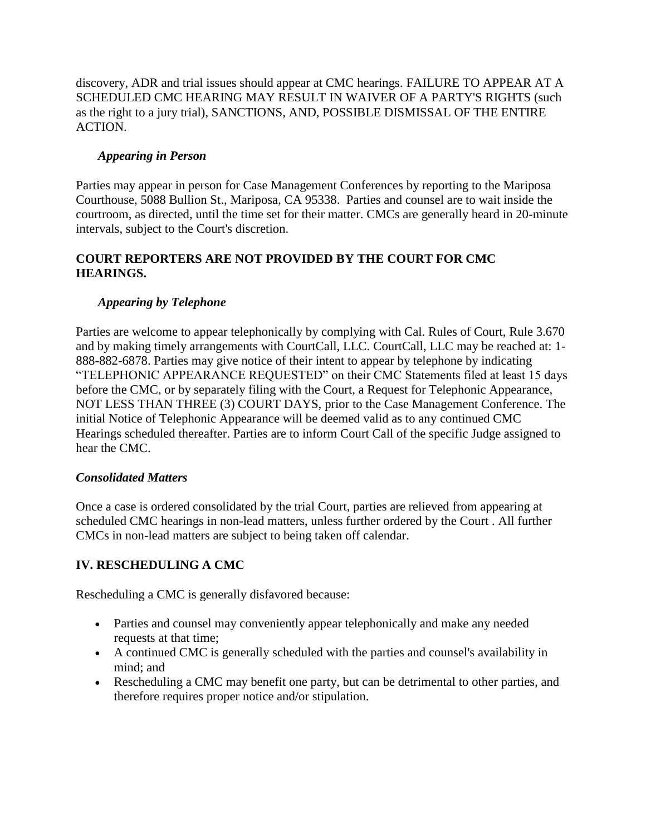discovery, ADR and trial issues should appear at CMC hearings. FAILURE TO APPEAR AT A SCHEDULED CMC HEARING MAY RESULT IN WAIVER OF A PARTY'S RIGHTS (such as the right to a jury trial), SANCTIONS, AND, POSSIBLE DISMISSAL OF THE ENTIRE ACTION.

## *Appearing in Person*

Parties may appear in person for Case Management Conferences by reporting to the Mariposa Courthouse, 5088 Bullion St., Mariposa, CA 95338. Parties and counsel are to wait inside the courtroom, as directed, until the time set for their matter. CMCs are generally heard in 20-minute intervals, subject to the Court's discretion.

## **COURT REPORTERS ARE NOT PROVIDED BY THE COURT FOR CMC HEARINGS.**

## *Appearing by Telephone*

Parties are welcome to appear telephonically by complying with Cal. Rules of Court, Rule 3.670 and by making timely arrangements with CourtCall, LLC. CourtCall, LLC may be reached at: 1- 888-882-6878. Parties may give notice of their intent to appear by telephone by indicating "TELEPHONIC APPEARANCE REQUESTED" on their CMC Statements filed at least 15 days before the CMC, or by separately filing with the Court, a Request for Telephonic Appearance, NOT LESS THAN THREE (3) COURT DAYS, prior to the Case Management Conference. The initial Notice of Telephonic Appearance will be deemed valid as to any continued CMC Hearings scheduled thereafter. Parties are to inform Court Call of the specific Judge assigned to hear the CMC.

## *Consolidated Matters*

Once a case is ordered consolidated by the trial Court, parties are relieved from appearing at scheduled CMC hearings in non-lead matters, unless further ordered by the Court . All further CMCs in non-lead matters are subject to being taken off calendar.

# **IV. RESCHEDULING A CMC**

Rescheduling a CMC is generally disfavored because:

- Parties and counsel may conveniently appear telephonically and make any needed requests at that time;
- A continued CMC is generally scheduled with the parties and counsel's availability in mind; and
- Rescheduling a CMC may benefit one party, but can be detrimental to other parties, and therefore requires proper notice and/or stipulation.